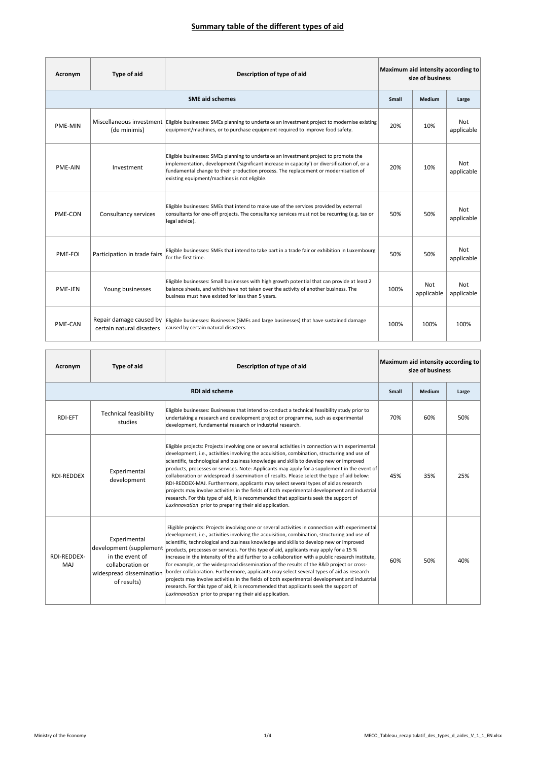| Acronym        | Type of aid                                          | Description of type of aid                                                                                                                                                                                                                                                                                                  | Maximum aid intensity according to<br>size of business |                   |                   |
|----------------|------------------------------------------------------|-----------------------------------------------------------------------------------------------------------------------------------------------------------------------------------------------------------------------------------------------------------------------------------------------------------------------------|--------------------------------------------------------|-------------------|-------------------|
|                |                                                      | <b>SME aid schemes</b>                                                                                                                                                                                                                                                                                                      | <b>Small</b>                                           | <b>Medium</b>     | Large             |
| PME-MIN        | (de minimis)                                         | Miscellaneous investment   Eligible businesses: SMEs planning to undertake an investment project to modernise existing<br>equipment/machines, or to purchase equipment required to improve food safety.                                                                                                                     | 20%                                                    | 10%               | Not<br>applicable |
| <b>PME-AIN</b> | Investment                                           | Eligible businesses: SMEs planning to undertake an investment project to promote the<br>implementation, development ('significant increase in capacity') or diversification of, or a<br>fundamental change to their production process. The replacement or modernisation of<br>existing equipment/machines is not eligible. | 20%                                                    | 10%               | Not<br>applicable |
| PME-CON        | Consultancy services                                 | Eligible businesses: SMEs that intend to make use of the services provided by external<br>consultants for one-off projects. The consultancy services must not be recurring (e.g. tax or<br>legal advice).                                                                                                                   | 50%                                                    | 50%               | Not<br>applicable |
| PME-FOI        | Participation in trade fairs                         | Eligible businesses: SMEs that intend to take part in a trade fair or exhibition in Luxembourg<br>for the first time.                                                                                                                                                                                                       | 50%                                                    | 50%               | Not<br>applicable |
| PME-JEN        | Young businesses                                     | Eligible businesses: Small businesses with high growth potential that can provide at least 2<br>balance sheets, and which have not taken over the activity of another business. The<br>business must have existed for less than 5 years.                                                                                    | 100%                                                   | Not<br>applicable | Not<br>applicable |
| PME-CAN        | Repair damage caused by<br>certain natural disasters | Eligible businesses: Businesses (SMEs and large businesses) that have sustained damage<br>caused by certain natural disasters.                                                                                                                                                                                              | 100%                                                   | 100%              | 100%              |

| Acronym            | Type of aid                                                                                                              | Description of type of aid                                                                                                                                                                                                                                                                                                                                                                                                                                                                                                                                                                                                                                                                                                                                                                                                                                                                                                             | Maximum aid intensity according to<br>size of business |        |       |
|--------------------|--------------------------------------------------------------------------------------------------------------------------|----------------------------------------------------------------------------------------------------------------------------------------------------------------------------------------------------------------------------------------------------------------------------------------------------------------------------------------------------------------------------------------------------------------------------------------------------------------------------------------------------------------------------------------------------------------------------------------------------------------------------------------------------------------------------------------------------------------------------------------------------------------------------------------------------------------------------------------------------------------------------------------------------------------------------------------|--------------------------------------------------------|--------|-------|
|                    | <b>RDI aid scheme</b>                                                                                                    |                                                                                                                                                                                                                                                                                                                                                                                                                                                                                                                                                                                                                                                                                                                                                                                                                                                                                                                                        |                                                        | Medium | Large |
| <b>RDI-EFT</b>     | <b>Technical feasibility</b><br>studies                                                                                  | Eligible businesses: Businesses that intend to conduct a technical feasibility study prior to<br>undertaking a research and development project or programme, such as experimental<br>development, fundamental research or industrial research.                                                                                                                                                                                                                                                                                                                                                                                                                                                                                                                                                                                                                                                                                        | 70%                                                    | 60%    | 50%   |
| RDI-REDDEX         | Experimental<br>development                                                                                              | Eligible projects: Projects involving one or several activities in connection with experimental<br>development, i.e., activities involving the acquisition, combination, structuring and use of<br>scientific, technological and business knowledge and skills to develop new or improved<br>products, processes or services. Note: Applicants may apply for a supplement in the event of<br>collaboration or widespread dissemination of results. Please select the type of aid below:<br>RDI-REDDEX-MAJ. Furthermore, applicants may select several types of aid as research<br>projects may involve activities in the fields of both experimental development and industrial<br>research. For this type of aid, it is recommended that applicants seek the support of<br>Luxinnovation prior to preparing their aid application.                                                                                                    | 45%                                                    | 35%    | 25%   |
| RDI-REDDEX-<br>MAJ | Experimental<br>development (supplemen<br>in the event of<br>collaboration or<br>widespread dissemination<br>of results) | Eligible projects: Projects involving one or several activities in connection with experimental<br>development, i.e., activities involving the acquisition, combination, structuring and use of<br>scientific, technological and business knowledge and skills to develop new or improved<br>products, processes or services. For this type of aid, applicants may apply for a 15 %<br>increase in the intensity of the aid further to a collaboration with a public research institute,<br>for example, or the widespread dissemination of the results of the R&D project or cross-<br>border collaboration. Furthermore, applicants may select several types of aid as research<br>projects may involve activities in the fields of both experimental development and industrial<br>research. For this type of aid, it is recommended that applicants seek the support of<br>Luxinnovation prior to preparing their aid application. | 60%                                                    | 50%    | 40%   |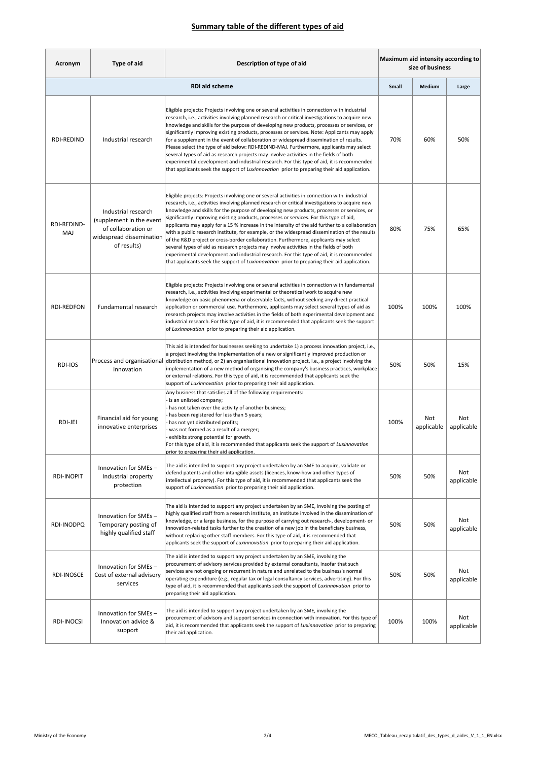| Acronym               | Type of aid                                                                                                       | Description of type of aid                                                                                                                                                                                                                                                                                                                                                                                                                                                                                                                                                                                                                                                                                                                                                                                                                                                                                                                                                  | Maximum aid intensity according to<br>size of business |                   |                   |  |
|-----------------------|-------------------------------------------------------------------------------------------------------------------|-----------------------------------------------------------------------------------------------------------------------------------------------------------------------------------------------------------------------------------------------------------------------------------------------------------------------------------------------------------------------------------------------------------------------------------------------------------------------------------------------------------------------------------------------------------------------------------------------------------------------------------------------------------------------------------------------------------------------------------------------------------------------------------------------------------------------------------------------------------------------------------------------------------------------------------------------------------------------------|--------------------------------------------------------|-------------------|-------------------|--|
| <b>RDI aid scheme</b> |                                                                                                                   |                                                                                                                                                                                                                                                                                                                                                                                                                                                                                                                                                                                                                                                                                                                                                                                                                                                                                                                                                                             | <b>Small</b>                                           | Medium            | Large             |  |
| <b>RDI-REDIND</b>     | Industrial research                                                                                               | Eligible projects: Projects involving one or several activities in connection with industrial<br>research, i.e., activities involving planned research or critical investigations to acquire new<br>knowledge and skills for the purpose of developing new products, processes or services, or<br>significantly improving existing products, processes or services. Note: Applicants may apply<br>for a supplement in the event of collaboration or widespread dissemination of results.<br>Please select the type of aid below: RDI-REDIND-MAJ. Furthermore, applicants may select<br>several types of aid as research projects may involve activities in the fields of both<br>experimental development and industrial research. For this type of aid, it is recommended<br>that applicants seek the support of Luxinnovation prior to preparing their aid application.                                                                                                   | 70%                                                    | 60%               | 50%               |  |
| RDI-REDIND-<br>MAJ    | Industrial research<br>(supplement in the event<br>of collaboration or<br>widespread dissemination<br>of results) | Eligible projects: Projects involving one or several activities in connection with industrial<br>research, i.e., activities involving planned research or critical investigations to acquire new<br>knowledge and skills for the purpose of developing new products, processes or services, or<br>significantly improving existing products, processes or services. For this type of aid,<br>applicants may apply for a 15 % increase in the intensity of the aid further to a collaboration<br>with a public research institute, for example, or the widespread dissemination of the results<br>of the R&D project or cross-border collaboration. Furthermore, applicants may select<br>several types of aid as research projects may involve activities in the fields of both<br>experimental development and industrial research. For this type of aid, it is recommended<br>that applicants seek the support of Luxinnovation prior to preparing their aid application. | 80%                                                    | 75%               | 65%               |  |
| RDI-REDFON            | Fundamental research                                                                                              | Eligible projects: Projects involving one or several activities in connection with fundamental<br>research, i.e., activities involving experimental or theoretical work to acquire new<br>knowledge on basic phenomena or observable facts, without seeking any direct practical<br>application or commercial use. Furthermore, applicants may select several types of aid as<br>research projects may involve activities in the fields of both experimental development and<br>industrial research. For this type of aid, it is recommended that applicants seek the support<br>of Luxinnovation prior to preparing their aid application.                                                                                                                                                                                                                                                                                                                                 | 100%                                                   | 100%              | 100%              |  |
| RDI-IOS               | Process and organisational<br>innovation                                                                          | This aid is intended for businesses seeking to undertake 1) a process innovation project, i.e.,<br>a project involving the implementation of a new or significantly improved production or<br>distribution method, or 2) an organisational innovation project, i.e., a project involving the<br>implementation of a new method of organising the company's business practices, workplace<br>or external relations. For this type of aid, it is recommended that applicants seek the<br>support of Luxinnovation prior to preparing their aid application.                                                                                                                                                                                                                                                                                                                                                                                                                   | 50%                                                    | 50%               | 15%               |  |
| RDI-JEI               | Financial aid for young<br>innovative enterprises                                                                 | Any business that satisfies all of the following requirements:<br>is an unlisted company;<br>has not taken over the activity of another business;<br>has been registered for less than 5 years;<br>has not yet distributed profits;<br>was not formed as a result of a merger;<br>exhibits strong potential for growth.<br>For this type of aid, it is recommended that applicants seek the support of Luxinnovation<br>prior to preparing their aid application.                                                                                                                                                                                                                                                                                                                                                                                                                                                                                                           | 100%                                                   | Not<br>applicable | Not<br>applicable |  |
| RDI-INOPIT            | Innovation for SMEs-<br>Industrial property<br>protection                                                         | The aid is intended to support any project undertaken by an SME to acquire, validate or<br>defend patents and other intangible assets (licences, know-how and other types of<br>intellectual property). For this type of aid, it is recommended that applicants seek the<br>support of Luxinnovation prior to preparing their aid application.                                                                                                                                                                                                                                                                                                                                                                                                                                                                                                                                                                                                                              | 50%                                                    | 50%               | Not<br>applicable |  |
| RDI-INODPQ            | Innovation for SMEs-<br>Temporary posting of<br>highly qualified staff                                            | The aid is intended to support any project undertaken by an SME, involving the posting of<br>highly qualified staff from a research institute, an institute involved in the dissemination of<br>knowledge, or a large business, for the purpose of carrying out research-, development- or<br>innovation-related tasks further to the creation of a new job in the beneficiary business,<br>without replacing other staff members. For this type of aid, it is recommended that<br>applicants seek the support of Luxinnovation prior to preparing their aid application.                                                                                                                                                                                                                                                                                                                                                                                                   | 50%                                                    | 50%               | Not<br>applicable |  |
| <b>RDI-INOSCE</b>     | Innovation for SMEs-<br>Cost of external advisory<br>services                                                     | The aid is intended to support any project undertaken by an SME, involving the<br>procurement of advisory services provided by external consultants, insofar that such<br>services are not ongoing or recurrent in nature and unrelated to the business's normal<br>operating expenditure (e.g., regular tax or legal consultancy services, advertising). For this<br>type of aid, it is recommended that applicants seek the support of Luxinnovation prior to<br>preparing their aid application.                                                                                                                                                                                                                                                                                                                                                                                                                                                                         | 50%                                                    | 50%               | Not<br>applicable |  |
| RDI-INOCSI            | Innovation for SMEs-<br>Innovation advice &<br>support                                                            | The aid is intended to support any project undertaken by an SME, involving the<br>procurement of advisory and support services in connection with innovation. For this type of<br>aid, it is recommended that applicants seek the support of Luxinnovation prior to preparing<br>their aid application.                                                                                                                                                                                                                                                                                                                                                                                                                                                                                                                                                                                                                                                                     | 100%                                                   | 100%              | Not<br>applicable |  |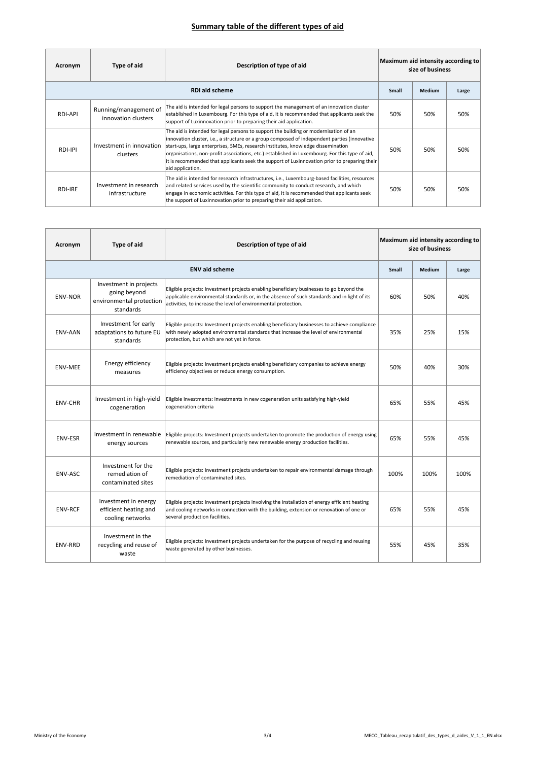| Acronym               | Type of aid                                  | Description of type of aid                                                                                                                                                                                                                                                                                                                                                                                                                                                                     | Maximum aid intensity according to<br>size of business |        |       |  |
|-----------------------|----------------------------------------------|------------------------------------------------------------------------------------------------------------------------------------------------------------------------------------------------------------------------------------------------------------------------------------------------------------------------------------------------------------------------------------------------------------------------------------------------------------------------------------------------|--------------------------------------------------------|--------|-------|--|
| <b>RDI aid scheme</b> |                                              |                                                                                                                                                                                                                                                                                                                                                                                                                                                                                                | Small                                                  | Medium | Large |  |
| RDI-API               | Running/management of<br>innovation clusters | The aid is intended for legal persons to support the management of an innovation cluster<br>established in Luxembourg. For this type of aid, it is recommended that applicants seek the<br>support of Luxinnovation prior to preparing their aid application.                                                                                                                                                                                                                                  | 50%                                                    | 50%    | 50%   |  |
| RDI-IPI               | Investment in innovation<br>clusters         | The aid is intended for legal persons to support the building or modernisation of an<br>innovation cluster, i.e., a structure or a group composed of independent parties (innovative<br>start-ups, large enterprises, SMEs, research institutes, knowledge dissemination<br>organisations, non-profit associations, etc.) established in Luxembourg. For this type of aid,<br>it is recommended that applicants seek the support of Luxinnovation prior to preparing their<br>aid application. | 50%                                                    | 50%    | 50%   |  |
| RDI-IRE               | Investment in research<br>infrastructure     | The aid is intended for research infrastructures, i.e., Luxembourg-based facilities, resources<br>and related services used by the scientific community to conduct research, and which<br>engage in economic activities. For this type of aid, it is recommended that applicants seek<br>the support of Luxinnovation prior to preparing their aid application.                                                                                                                                | 50%                                                    | 50%    | 50%   |  |

| Acronym        | Type of aid                                                                     | Description of type of aid                                                                                                                                                                                                                               | Maximum aid intensity according to<br>size of business |               |       |
|----------------|---------------------------------------------------------------------------------|----------------------------------------------------------------------------------------------------------------------------------------------------------------------------------------------------------------------------------------------------------|--------------------------------------------------------|---------------|-------|
|                |                                                                                 | <b>ENV aid scheme</b>                                                                                                                                                                                                                                    | <b>Small</b>                                           | <b>Medium</b> | Large |
| <b>ENV-NOR</b> | Investment in projects<br>going beyond<br>environmental protection<br>standards | Eligible projects: Investment projects enabling beneficiary businesses to go beyond the<br>applicable environmental standards or, in the absence of such standards and in light of its<br>activities, to increase the level of environmental protection. | 60%                                                    | 50%           | 40%   |
| <b>ENV-AAN</b> | Investment for early<br>adaptations to future EU<br>standards                   | Eligible projects: Investment projects enabling beneficiary businesses to achieve compliance<br>with newly adopted environmental standards that increase the level of environmental<br>protection, but which are not yet in force.                       | 35%                                                    | 25%           | 15%   |
| <b>ENV-MEE</b> | Energy efficiency<br>measures                                                   | Eligible projects: Investment projects enabling beneficiary companies to achieve energy<br>efficiency objectives or reduce energy consumption.                                                                                                           | 50%                                                    | 40%           | 30%   |
| <b>ENV-CHR</b> | Investment in high-yield<br>cogeneration                                        | Eligible investments: Investments in new cogeneration units satisfying high-yield<br>cogeneration criteria                                                                                                                                               | 65%                                                    | 55%           | 45%   |
| <b>ENV-ESR</b> | Investment in renewable<br>energy sources                                       | Eligible projects: Investment projects undertaken to promote the production of energy using<br>renewable sources, and particularly new renewable energy production facilities.                                                                           | 65%                                                    | 55%           | 45%   |
| ENV-ASC        | Investment for the<br>remediation of<br>contaminated sites                      | Eligible projects: Investment projects undertaken to repair environmental damage through<br>remediation of contaminated sites.                                                                                                                           | 100%                                                   | 100%          | 100%  |
| <b>ENV-RCF</b> | Investment in energy<br>efficient heating and<br>cooling networks               | Eligible projects: Investment projects involving the installation of energy efficient heating<br>and cooling networks in connection with the building, extension or renovation of one or<br>several production facilities.                               | 65%                                                    | 55%           | 45%   |
| ENV-RRD        | Investment in the<br>recycling and reuse of<br>waste                            | Eligible projects: Investment projects undertaken for the purpose of recycling and reusing<br>waste generated by other businesses.                                                                                                                       | 55%                                                    | 45%           | 35%   |